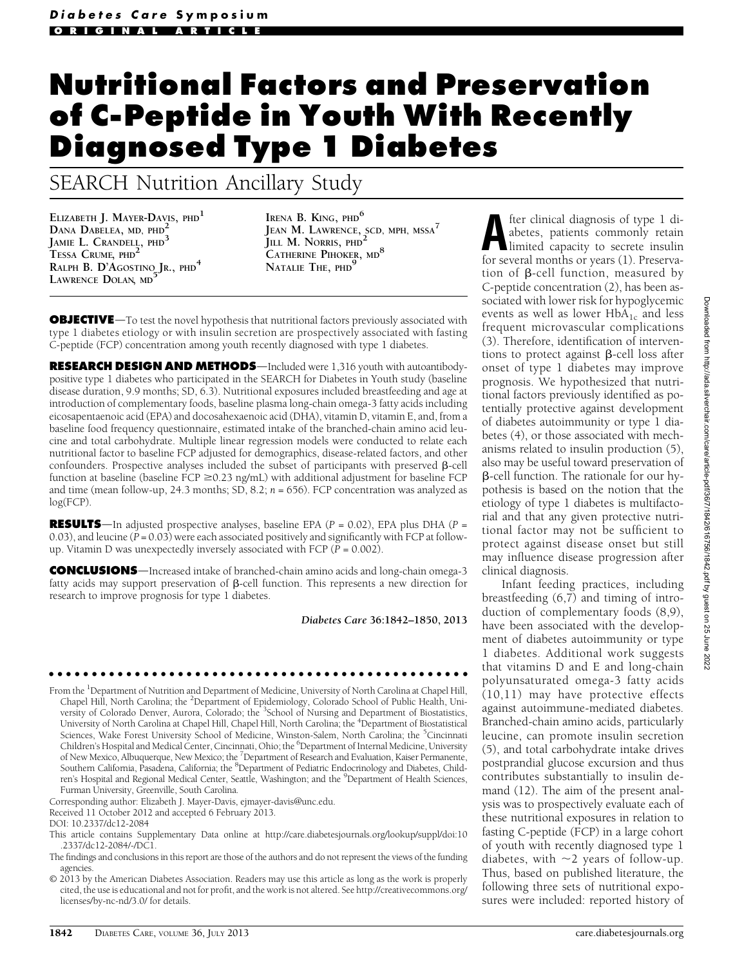# Nutritional Factors and Preservation of C-Peptide in Youth With Recently Diagnosed Type 1 Diabetes

# SEARCH Nutrition Ancillary Study

ELIZABETH J. MAYER-DAVIS, PHD<sup>1</sup> DANA DABELEA, MD, PHD JAMIE L. CRANDELL, PHD<sup>3</sup> TESSA CRUME, PHD<sup>2</sup> RALPH B. D'AGOSTINO JR., PHD<sup>4</sup> LAWRENCE DOLAN, MD

IRENA B. KING, PHD<sup>6</sup> JEAN M. LAWRENCE, SCD, MPH, MSSA<sup>7</sup> JILL M. NORRIS, PHD<sup>2</sup> CATHERINE PIHOKER, MD<sup>8</sup> NATALIE THE, PHD<sup>9</sup>

**OBJECTIVE**—To test the novel hypothesis that nutritional factors previously associated with type 1 diabetes etiology or with insulin secretion are prospectively associated with fasting C-peptide (FCP) concentration among youth recently diagnosed with type 1 diabetes.

RESEARCH DESIGN AND METHODS—Included were 1,316 youth with autoantibodypositive type 1 diabetes who participated in the SEARCH for Diabetes in Youth study (baseline disease duration, 9.9 months; SD, 6.3). Nutritional exposures included breastfeeding and age at introduction of complementary foods, baseline plasma long-chain omega-3 fatty acids including eicosapentaenoic acid (EPA) and docosahexaenoic acid (DHA), vitamin D, vitamin E, and, from a baseline food frequency questionnaire, estimated intake of the branched-chain amino acid leucine and total carbohydrate. Multiple linear regression models were conducted to relate each nutritional factor to baseline FCP adjusted for demographics, disease-related factors, and other confounders. Prospective analyses included the subset of participants with preserved  $\beta$ -cell function at baseline (baseline  $FCP \ge 0.23$  ng/mL) with additional adjustment for baseline FCP and time (mean follow-up, 24.3 months; SD, 8.2;  $n = 656$ ). FCP concentration was analyzed as log(FCP).

**RESULTS**—In adjusted prospective analyses, baseline EPA ( $P = 0.02$ ), EPA plus DHA ( $P =$ 0.03), and leucine  $(P = 0.03)$  were each associated positively and significantly with FCP at followup. Vitamin D was unexpectedly inversely associated with FCP ( $P = 0.002$ ).

**CONCLUSIONS**—Increased intake of branched-chain amino acids and long-chain omega-3 fatty acids may support preservation of  $\beta$ -cell function. This represents a new direction for research to improve prognosis for type 1 diabetes.

Diabetes Care 36:1842–1850, 2013

From the <sup>1</sup>Department of Nutrition and Department of Medicine, University of North Carolina at Chapel Hill, Chapel Hill, North Carolina; the <sup>2</sup>Department of Epidemiology, Colorado School of Public Health, University of Colorado Denver, Aurora, Colorado; the <sup>3</sup>School of Nursing and Department of Biostatistics, University of North Carolina at Chapel Hill, Chapel Hill, North Carolina; the <sup>4</sup> Department of Biostatistical Sciences, Wake Forest University School of Medicine, Winston-Salem, North Carolina; the <sup>5</sup>Cincinnati Children's Hospital and Medical Center, Cincinnati, Ohio; the <sup>6</sup>Department of Internal Medicine, University of New Mexico, Albuquerque, New Mexico; the <sup>7</sup>Department of Research and Evaluation, Kaiser Permanente, Southern California, Pasadena, California; the <sup>8</sup>Department of Pediatric Endocrinology and Diabetes, Children's Hospital and Regional Medical Center, Seattle, Washington; and the <sup>9</sup>Department of Health Sciences, Furman University, Greenville, South Carolina.

ccccccccccccccccccccccccccccccccccccccccccccccccc

Corresponding author: Elizabeth J. Mayer-Davis, [ejmayer-davis@unc.edu.](mailto:ejmayer-davis@unc.edu)

Received 11 October 2012 and accepted 6 February 2013.

fter clinical diagnosis of type 1 di-<br>abetes, patients commonly retain<br>limited capacity to secrete insulin<br>for several months or vears (1) Preservaabetes, patients commonly retain for several months or years (1). Preservation of  $\beta$ -cell function, measured by C-peptide concentration (2), has been associated with lower risk for hypoglycemic events as well as lower  $HbA_{1c}$  and less frequent microvascular complications (3). Therefore, identification of interventions to protect against  $\beta$ -cell loss after onset of type 1 diabetes may improve prognosis. We hypothesized that nutritional factors previously identified as potentially protective against development of diabetes autoimmunity or type 1 diabetes (4), or those associated with mechanisms related to insulin production (5), also may be useful toward preservation of b-cell function. The rationale for our hypothesis is based on the notion that the etiology of type 1 diabetes is multifactorial and that any given protective nutritional factor may not be sufficient to protect against disease onset but still may influence disease progression after clinical diagnosis.

Infant feeding practices, including breastfeeding (6,7) and timing of introduction of complementary foods (8,9), have been associated with the development of diabetes autoimmunity or type 1 diabetes. Additional work suggests that vitamins D and E and long-chain polyunsaturated omega-3 fatty acids (10,11) may have protective effects against autoimmune-mediated diabetes. Branched-chain amino acids, particularly leucine, can promote insulin secretion (5), and total carbohydrate intake drives postprandial glucose excursion and thus contributes substantially to insulin demand (12). The aim of the present analysis was to prospectively evaluate each of these nutritional exposures in relation to fasting C-peptide (FCP) in a large cohort of youth with recently diagnosed type 1 diabetes, with  $\sim$ 2 years of follow-up. Thus, based on published literature, the following three sets of nutritional exposures were included: reported history of

DOI: 10.2337/dc12-2084

This article contains Supplementary Data online at [http://care.diabetesjournals.org/lookup/suppl/doi:10](http://care.diabetesjournals.org/lookup/suppl/doi:10.2337/dc12-2084/-/DC1) [.2337/dc12-2084/-/DC1](http://care.diabetesjournals.org/lookup/suppl/doi:10.2337/dc12-2084/-/DC1).

The findings and conclusions in this report are those of the authors and do not represent the views of the funding agencies.

<sup>© 2013</sup> by the American Diabetes Association. Readers may use this article as long as the work is properly cited, the use is educational and not for profit, and the work is not altered. See [http://creativecommons.org/](http://creativecommons.org/licenses/by-nc-nd/3.0/) [licenses/by-nc-nd/3.0/](http://creativecommons.org/licenses/by-nc-nd/3.0/) for details.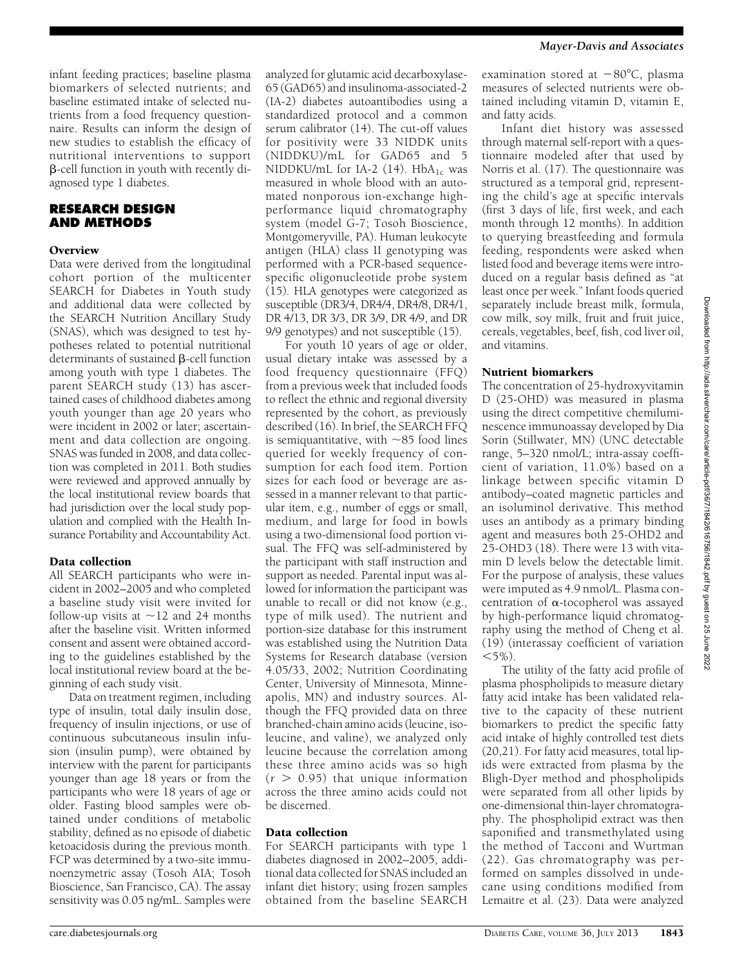infant feeding practices; baseline plasma biomarkers of selected nutrients; and baseline estimated intake of selected nutrients from a food frequency questionnaire. Results can inform the design of new studies to establish the efficacy of nutritional interventions to support  $\beta$ -cell function in youth with recently diagnosed type 1 diabetes.

# RESEARCH DESIGN AND METHODS

#### **Overview**

Data were derived from the longitudinal cohort portion of the multicenter SEARCH for Diabetes in Youth study and additional data were collected by the SEARCH Nutrition Ancillary Study (SNAS), which was designed to test hypotheses related to potential nutritional determinants of sustained  $\beta$ -cell function among youth with type 1 diabetes. The parent SEARCH study (13) has ascertained cases of childhood diabetes among youth younger than age 20 years who were incident in 2002 or later; ascertainment and data collection are ongoing. SNAS was funded in 2008, and data collection was completed in 2011. Both studies were reviewed and approved annually by the local institutional review boards that had jurisdiction over the local study population and complied with the Health Insurance Portability and Accountability Act.

#### Data collection

All SEARCH participants who were incident in 2002–2005 and who completed a baseline study visit were invited for follow-up visits at  $\sim$ 12 and 24 months after the baseline visit. Written informed consent and assent were obtained according to the guidelines established by the local institutional review board at the beginning of each study visit.

Data on treatment regimen, including type of insulin, total daily insulin dose, frequency of insulin injections, or use of continuous subcutaneous insulin infusion (insulin pump), were obtained by interview with the parent for participants younger than age 18 years or from the participants who were 18 years of age or older. Fasting blood samples were obtained under conditions of metabolic stability, defined as no episode of diabetic ketoacidosis during the previous month. FCP was determined by a two-site immunoenzymetric assay (Tosoh AIA; Tosoh Bioscience, San Francisco, CA). The assay sensitivity was 0.05 ng/mL. Samples were

analyzed for glutamic acid decarboxylase-65 (GAD65) and insulinoma-associated-2 (IA-2) diabetes autoantibodies using a standardized protocol and a common serum calibrator (14). The cut-off values for positivity were 33 NIDDK units (NIDDKU)/mL for GAD65 and 5 NIDDKU/mL for IA-2 (14).  $HbA_{1c}$  was measured in whole blood with an automated nonporous ion-exchange highperformance liquid chromatography system (model G-7; Tosoh Bioscience, Montgomeryville, PA). Human leukocyte antigen (HLA) class II genotyping was performed with a PCR-based sequencespecific oligonucleotide probe system (15). HLA genotypes were categorized as susceptible (DR3/4, DR4/4, DR4/8, DR4/1, DR 4/13, DR 3/3, DR 3/9, DR 4/9, and DR 9/9 genotypes) and not susceptible (15).

For youth 10 years of age or older, usual dietary intake was assessed by a food frequency questionnaire (FFQ) from a previous week that included foods to reflect the ethnic and regional diversity represented by the cohort, as previously described (16). In brief, the SEARCH FFQ is semiquantitative, with  $\sim$ 85 food lines queried for weekly frequency of consumption for each food item. Portion sizes for each food or beverage are assessed in a manner relevant to that particular item, e.g., number of eggs or small, medium, and large for food in bowls using a two-dimensional food portion visual. The FFQ was self-administered by the participant with staff instruction and support as needed. Parental input was allowed for information the participant was unable to recall or did not know (e.g., type of milk used). The nutrient and portion-size database for this instrument was established using the Nutrition Data Systems for Research database (version 4.05/33, 2002; Nutrition Coordinating Center, University of Minnesota, Minneapolis, MN) and industry sources. Although the FFQ provided data on three branched-chain amino acids (leucine, isoleucine, and valine), we analyzed only leucine because the correlation among these three amino acids was so high  $(r > 0.95)$  that unique information across the three amino acids could not be discerned.

#### Data collection

For SEARCH participants with type 1 diabetes diagnosed in 2002–2005, additional data collected for SNAS included an infant diet history; using frozen samples obtained from the baseline SEARCH

#### Mayer-Davis and Associates

examination stored at  $-80^{\circ}$ C, plasma measures of selected nutrients were obtained including vitamin D, vitamin E, and fatty acids.

Infant diet history was assessed through maternal self-report with a questionnaire modeled after that used by Norris et al. (17). The questionnaire was structured as a temporal grid, representing the child's age at specific intervals (first 3 days of life, first week, and each month through 12 months). In addition to querying breastfeeding and formula feeding, respondents were asked when listed food and beverage items were introduced on a regular basis defined as "at least once per week." Infant foods queried separately include breast milk, formula, cow milk, soy milk, fruit and fruit juice, cereals, vegetables, beef, fish, cod liver oil, and vitamins.

#### Nutrient biomarkers

The concentration of 25-hydroxyvitamin D (25-OHD) was measured in plasma using the direct competitive chemiluminescence immunoassay developed by Dia Sorin (Stillwater, MN) (UNC detectable range, 5–320 nmol/L; intra-assay coefficient of variation, 11.0%) based on a linkage between specific vitamin D antibody–coated magnetic particles and an isoluminol derivative. This method uses an antibody as a primary binding agent and measures both 25-OHD2 and 25-OHD3 (18). There were 13 with vitamin D levels below the detectable limit. For the purpose of analysis, these values were imputed as 4.9 nmol/L. Plasma concentration of  $\alpha$ -tocopherol was assayed by high-performance liquid chromatography using the method of Cheng et al. (19) (interassay coefficient of variation  $<$ 5%).

The utility of the fatty acid profile of plasma phospholipids to measure dietary fatty acid intake has been validated relative to the capacity of these nutrient biomarkers to predict the specific fatty acid intake of highly controlled test diets (20,21). For fatty acid measures, total lipids were extracted from plasma by the Bligh-Dyer method and phospholipids were separated from all other lipids by one-dimensional thin-layer chromatography. The phospholipid extract was then saponified and transmethylated using the method of Tacconi and Wurtman (22). Gas chromatography was performed on samples dissolved in undecane using conditions modified from Lemaitre et al. (23). Data were analyzed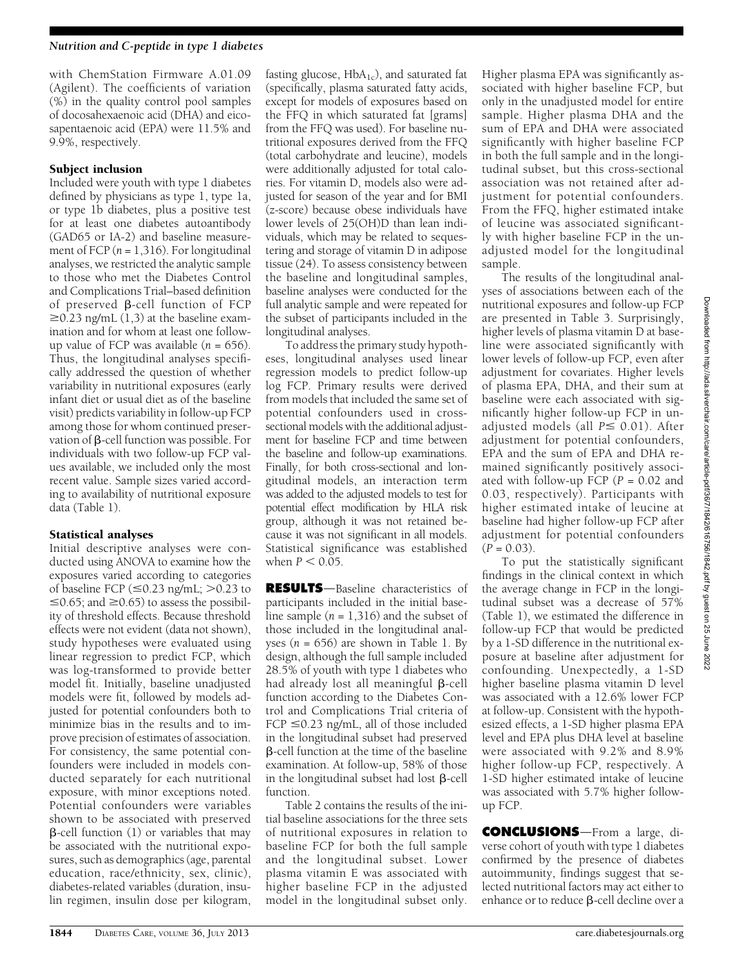#### Nutrition and C-peptide in type 1 diabetes

with ChemStation Firmware A.01.09 (Agilent). The coefficients of variation (%) in the quality control pool samples of docosahexaenoic acid (DHA) and eicosapentaenoic acid (EPA) were 11.5% and 9.9%, respectively.

#### Subject inclusion

Included were youth with type 1 diabetes defined by physicians as type 1, type 1a, or type 1b diabetes, plus a positive test for at least one diabetes autoantibody (GAD65 or IA-2) and baseline measurement of FCP  $(n = 1,316)$ . For longitudinal analyses, we restricted the analytic sample to those who met the Diabetes Control and Complications Trial–based definition of preserved  $\beta$ -cell function of FCP  $\geq$ 0.23 ng/mL (1,3) at the baseline examination and for whom at least one followup value of FCP was available  $(n = 656)$ . Thus, the longitudinal analyses specifically addressed the question of whether variability in nutritional exposures (early infant diet or usual diet as of the baseline visit) predicts variability in follow-up FCP among those for whom continued preservation of  $\beta$ -cell function was possible. For individuals with two follow-up FCP values available, we included only the most recent value. Sample sizes varied according to availability of nutritional exposure data (Table 1).

# Statistical analyses

Initial descriptive analyses were conducted using ANOVA to examine how the exposures varied according to categories of baseline FCP ( $\leq 0.23$  ng/mL;  $> 0.23$  to  $\leq$ 0.65; and  $\geq$ 0.65) to assess the possibility of threshold effects. Because threshold effects were not evident (data not shown), study hypotheses were evaluated using linear regression to predict FCP, which was log-transformed to provide better model fit. Initially, baseline unadjusted models were fit, followed by models adjusted for potential confounders both to minimize bias in the results and to improve precision of estimates of association. For consistency, the same potential confounders were included in models conducted separately for each nutritional exposure, with minor exceptions noted. Potential confounders were variables shown to be associated with preserved  $\beta$ -cell function (1) or variables that may be associated with the nutritional exposures, such as demographics (age, parental education, race/ethnicity, sex, clinic), diabetes-related variables (duration, insulin regimen, insulin dose per kilogram,

fasting glucose,  $HbA_{1c}$ , and saturated fat (specifically, plasma saturated fatty acids, except for models of exposures based on the FFQ in which saturated fat [grams] from the FFQ was used). For baseline nutritional exposures derived from the FFQ (total carbohydrate and leucine), models were additionally adjusted for total calories. For vitamin D, models also were adjusted for season of the year and for BMI (z-score) because obese individuals have lower levels of 25(OH)D than lean individuals, which may be related to sequestering and storage of vitamin D in adipose tissue (24). To assess consistency between the baseline and longitudinal samples, baseline analyses were conducted for the full analytic sample and were repeated for the subset of participants included in the longitudinal analyses.

To address the primary study hypotheses, longitudinal analyses used linear regression models to predict follow-up log FCP. Primary results were derived from models that included the same set of potential confounders used in crosssectional models with the additional adjustment for baseline FCP and time between the baseline and follow-up examinations. Finally, for both cross-sectional and longitudinal models, an interaction term was added to the adjusted models to test for potential effect modification by HLA risk group, although it was not retained because it was not significant in all models. Statistical significance was established when  $P < 0.05$ .

RESULTS-Baseline characteristics of participants included in the initial baseline sample  $(n = 1,316)$  and the subset of those included in the longitudinal analyses ( $n = 656$ ) are shown in Table 1. By design, although the full sample included 28.5% of youth with type 1 diabetes who had already lost all meaningful  $\beta$ -cell function according to the Diabetes Control and Complications Trial criteria of FCP  $\leq$ 0.23 ng/mL, all of those included in the longitudinal subset had preserved b-cell function at the time of the baseline examination. At follow-up, 58% of those in the longitudinal subset had lost  $\beta$ -cell function.

Table 2 contains the results of the initial baseline associations for the three sets of nutritional exposures in relation to baseline FCP for both the full sample and the longitudinal subset. Lower plasma vitamin E was associated with higher baseline FCP in the adjusted model in the longitudinal subset only.

Higher plasma EPA was significantly associated with higher baseline FCP, but only in the unadjusted model for entire sample. Higher plasma DHA and the sum of EPA and DHA were associated significantly with higher baseline FCP in both the full sample and in the longitudinal subset, but this cross-sectional association was not retained after adjustment for potential confounders. From the FFQ, higher estimated intake of leucine was associated significantly with higher baseline FCP in the unadjusted model for the longitudinal sample.

The results of the longitudinal analyses of associations between each of the nutritional exposures and follow-up FCP are presented in Table 3. Surprisingly, higher levels of plasma vitamin D at baseline were associated significantly with lower levels of follow-up FCP, even after adjustment for covariates. Higher levels of plasma EPA, DHA, and their sum at baseline were each associated with significantly higher follow-up FCP in unadjusted models (all  $P \leq 0.01$ ). After adjustment for potential confounders, EPA and the sum of EPA and DHA remained significantly positively associated with follow-up FCP ( $P = 0.02$  and 0.03, respectively). Participants with higher estimated intake of leucine at baseline had higher follow-up FCP after adjustment for potential confounders  $(P = 0.03)$ .

To put the statistically significant findings in the clinical context in which the average change in FCP in the longitudinal subset was a decrease of 57% (Table 1), we estimated the difference in follow-up FCP that would be predicted by a 1-SD difference in the nutritional exposure at baseline after adjustment for confounding. Unexpectedly, a 1-SD higher baseline plasma vitamin D level was associated with a 12.6% lower FCP at follow-up. Consistent with the hypothesized effects, a 1-SD higher plasma EPA level and EPA plus DHA level at baseline were associated with 9.2% and 8.9% higher follow-up FCP, respectively. A 1-SD higher estimated intake of leucine was associated with 5.7% higher followup FCP.

**CONCLUSIONS**—From a large, diverse cohort of youth with type 1 diabetes confirmed by the presence of diabetes autoimmunity, findings suggest that selected nutritional factors may act either to enhance or to reduce  $\beta$ -cell decline over a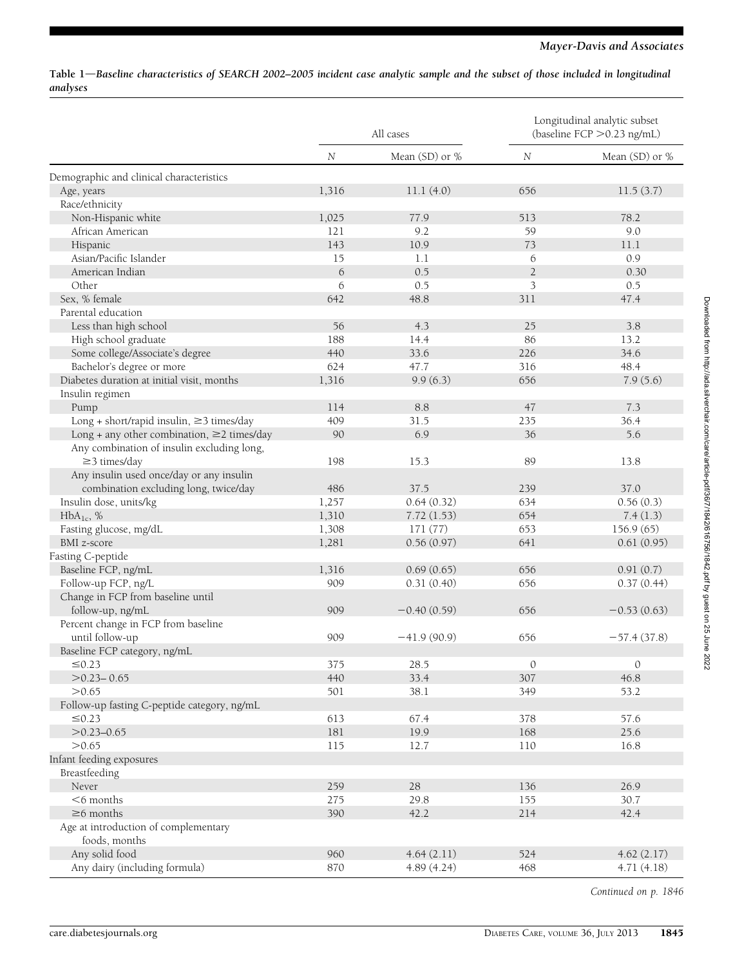#### Table 1-Baseline characteristics of SEARCH 2002-2005 incident case analytic sample and the subset of those included in longitudinal analyses

|                                                  | All cases |                | Longitudinal analytic subset<br>(baseline FCP > 0.23 ng/mL) |                  |
|--------------------------------------------------|-----------|----------------|-------------------------------------------------------------|------------------|
|                                                  | $\,N$     | Mean (SD) or % | $\cal N$                                                    | Mean $(SD)$ or % |
| Demographic and clinical characteristics         |           |                |                                                             |                  |
| Age, years                                       | 1,316     | 11.1(4.0)      | 656                                                         | 11.5(3.7)        |
| Race/ethnicity                                   |           |                |                                                             |                  |
| Non-Hispanic white                               | 1,025     | 77.9           | 513                                                         | 78.2             |
| African American                                 | 121       | 9.2            | 59                                                          | 9.0              |
| Hispanic                                         | 143       | 10.9           | 73                                                          | 11.1             |
| Asian/Pacific Islander                           | 15        | 1.1            | 6                                                           | 0.9              |
| American Indian                                  | 6         | 0.5            | $\overline{2}$                                              | 0.30             |
| Other                                            | 6         | 0.5            | 3                                                           | 0.5              |
| Sex, % female                                    | 642       | 48.8           | 311                                                         | 47.4             |
| Parental education                               |           |                |                                                             |                  |
| Less than high school                            | 56        | 4.3            | 25                                                          | 3.8              |
| High school graduate                             | 188       | 14.4           | 86                                                          | 13.2             |
| Some college/Associate's degree                  | 440       | 33.6           | 226                                                         | 34.6             |
| Bachelor's degree or more                        | 624       | 47.7           | 316                                                         | 48.4             |
| Diabetes duration at initial visit, months       | 1,316     | 9.9(6.3)       | 656                                                         | 7.9(5.6)         |
| Insulin regimen                                  |           |                |                                                             |                  |
| Pump                                             | 114       | 8.8            | 47                                                          | 7.3              |
| Long + short/rapid insulin, ≥3 times/day         | 409       | 31.5           | 235                                                         | 36.4             |
| Long + any other combination, $\geq$ 2 times/day | 90        | 6.9            | 36                                                          | 5.6              |
| Any combination of insulin excluding long,       |           |                |                                                             |                  |
| $\geq$ 3 times/day                               | 198       | 15.3           | 89                                                          | 13.8             |
| Any insulin used once/day or any insulin         |           |                |                                                             |                  |
| combination excluding long, twice/day            | 486       | 37.5           | 239                                                         | 37.0             |
| Insulin dose, units/kg                           | 1,257     | 0.64(0.32)     | 634                                                         | 0.56(0.3)        |
| $HbA_{1c}$ , %                                   | 1,310     | 7.72(1.53)     | 654                                                         | 7.4(1.3)         |
| Fasting glucose, mg/dL                           | 1,308     | 171(77)        | 653                                                         | 156.9(65)        |
| BMI z-score                                      | 1,281     | 0.56(0.97)     | 641                                                         | 0.61(0.95)       |
| Fasting C-peptide                                |           |                |                                                             |                  |
| Baseline FCP, ng/mL                              | 1,316     | 0.69(0.65)     | 656                                                         | 0.91(0.7)        |
| Follow-up FCP, ng/L                              | 909       | 0.31(0.40)     | 656                                                         | 0.37(0.44)       |
| Change in FCP from baseline until                |           |                |                                                             |                  |
| follow-up, ng/mL                                 | 909       | $-0.40(0.59)$  | 656                                                         | $-0.53(0.63)$    |
| Percent change in FCP from baseline              |           |                |                                                             |                  |
| until follow-up                                  | 909       | $-41.9(90.9)$  | 656                                                         | $-57.4(37.8)$    |
| Baseline FCP category, ng/mL                     |           |                |                                                             |                  |
| ≤0.23                                            | 375       | 28.5           | $\theta$                                                    | $\theta$         |
| $>0.23 - 0.65$                                   | 440       | 33.4           | 307                                                         | 46.8             |
| >0.65                                            | 501       | 38.1           | 349                                                         | 53.2             |
| Follow-up fasting C-peptide category, ng/mL      |           |                |                                                             |                  |
| $\leq 0.23$                                      | 613       | 67.4           | 378                                                         | 57.6             |
| $>0.23 - 0.65$                                   | 181       | 19.9           | 168                                                         | 25.6             |
| >0.65                                            | 115       | 12.7           | 110                                                         | 16.8             |
| Infant feeding exposures                         |           |                |                                                             |                  |
| Breastfeeding                                    |           |                |                                                             |                  |
| Never                                            | 259       | 28             | 136                                                         | 26.9             |
| $<$ 6 months                                     | 275       | 29.8           | 155                                                         | 30.7             |
| $\geq$ 6 months                                  | 390       | 42.2           | 214                                                         | 42.4             |
| Age at introduction of complementary             |           |                |                                                             |                  |
| foods, months                                    |           |                |                                                             |                  |
| Any solid food                                   | 960       | 4.64(2.11)     | 524                                                         | 4.62(2.17)       |
| Any dairy (including formula)                    | 870       | 4.89 (4.24)    | 468                                                         | 4.71(4.18)       |

Continued on p. 1846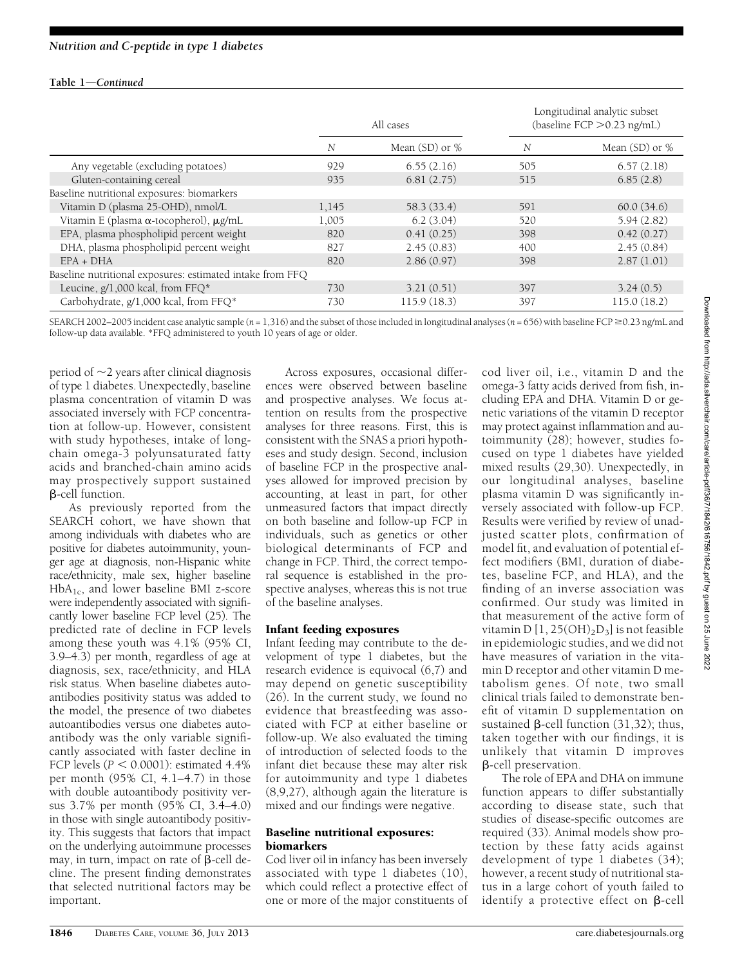### Table  $1$ –Continued

|                                                           | All cases |                  | Longitudinal analytic subset<br>(baseline FCP > 0.23 ng/mL) |                    |
|-----------------------------------------------------------|-----------|------------------|-------------------------------------------------------------|--------------------|
|                                                           | N         | Mean $(SD)$ or % | N                                                           | Mean $(SD)$ or $%$ |
| Any vegetable (excluding potatoes)                        | 929       | 6.55(2.16)       | 505                                                         | 6.57(2.18)         |
| Gluten-containing cereal                                  | 935       | 6.81(2.75)       | 515                                                         | 6.85(2.8)          |
| Baseline nutritional exposures: biomarkers                |           |                  |                                                             |                    |
| Vitamin D (plasma 25-OHD), nmol/L                         | 1,145     | 58.3 (33.4)      | 591                                                         | 60.0(34.6)         |
| Vitamin E (plasma $\alpha$ -tocopherol), $\mu$ g/mL       | 1,005     | 6.2(3.04)        | 520                                                         | 5.94(2.82)         |
| EPA, plasma phospholipid percent weight                   | 820       | 0.41(0.25)       | 398                                                         | 0.42(0.27)         |
| DHA, plasma phospholipid percent weight                   | 827       | 2.45(0.83)       | 400                                                         | 2.45(0.84)         |
| $EPA + DHA$                                               | 820       | 2.86(0.97)       | 398                                                         | 2.87(1.01)         |
| Baseline nutritional exposures: estimated intake from FFQ |           |                  |                                                             |                    |
| Leucine, $g/1,000$ kcal, from FFQ*                        | 730       | 3.21(0.51)       | 397                                                         | 3.24(0.5)          |
| Carbohydrate, g/1,000 kcal, from FFQ*                     | 730       | 115.9(18.3)      | 397                                                         | 115.0(18.2)        |

SEARCH 2002–2005 incident case analytic sample  $(n = 1,316)$  and the subset of those included in longitudinal analyses  $(n = 656)$  with baseline FCP  $\geq 0.23$  ng/mL and follow-up data available. \*FFQ administered to youth 10 years of age or older.

period of  $\sim$ 2 years after clinical diagnosis of type 1 diabetes. Unexpectedly, baseline plasma concentration of vitamin D was associated inversely with FCP concentration at follow-up. However, consistent with study hypotheses, intake of longchain omega-3 polyunsaturated fatty acids and branched-chain amino acids may prospectively support sustained  $\beta$ -cell function.

As previously reported from the SEARCH cohort, we have shown that among individuals with diabetes who are positive for diabetes autoimmunity, younger age at diagnosis, non-Hispanic white race/ethnicity, male sex, higher baseline  $HbA_{1c}$ , and lower baseline BMI z-score were independently associated with significantly lower baseline FCP level (25). The predicted rate of decline in FCP levels among these youth was 4.1% (95% CI, 3.9–4.3) per month, regardless of age at diagnosis, sex, race/ethnicity, and HLA risk status. When baseline diabetes autoantibodies positivity status was added to the model, the presence of two diabetes autoantibodies versus one diabetes autoantibody was the only variable significantly associated with faster decline in FCP levels ( $P < 0.0001$ ): estimated 4.4% per month (95% CI, 4.1–4.7) in those with double autoantibody positivity versus 3.7% per month (95% CI, 3.4–4.0) in those with single autoantibody positivity. This suggests that factors that impact on the underlying autoimmune processes may, in turn, impact on rate of  $\beta$ -cell decline. The present finding demonstrates that selected nutritional factors may be important.

Across exposures, occasional differences were observed between baseline and prospective analyses. We focus attention on results from the prospective analyses for three reasons. First, this is consistent with the SNAS a priori hypotheses and study design. Second, inclusion of baseline FCP in the prospective analyses allowed for improved precision by accounting, at least in part, for other unmeasured factors that impact directly on both baseline and follow-up FCP in individuals, such as genetics or other biological determinants of FCP and change in FCP. Third, the correct temporal sequence is established in the prospective analyses, whereas this is not true of the baseline analyses.

# Infant feeding exposures

Infant feeding may contribute to the development of type 1 diabetes, but the research evidence is equivocal (6,7) and may depend on genetic susceptibility (26). In the current study, we found no evidence that breastfeeding was associated with FCP at either baseline or follow-up. We also evaluated the timing of introduction of selected foods to the infant diet because these may alter risk for autoimmunity and type 1 diabetes (8,9,27), although again the literature is mixed and our findings were negative.

# Baseline nutritional exposures: biomarkers

Cod liver oil in infancy has been inversely associated with type 1 diabetes (10), which could reflect a protective effect of one or more of the major constituents of cod liver oil, i.e., vitamin D and the omega-3 fatty acids derived from fish, including EPA and DHA. Vitamin D or genetic variations of the vitamin D receptor may protect against inflammation and autoimmunity (28); however, studies focused on type 1 diabetes have yielded mixed results (29,30). Unexpectedly, in our longitudinal analyses, baseline plasma vitamin D was significantly inversely associated with follow-up FCP. Results were verified by review of unadjusted scatter plots, confirmation of model fit, and evaluation of potential effect modifiers (BMI, duration of diabetes, baseline FCP, and HLA), and the finding of an inverse association was confirmed. Our study was limited in that measurement of the active form of vitamin D  $[1, 25(OH)_2D_3]$  is not feasible in epidemiologic studies, and we did not have measures of variation in the vitamin D receptor and other vitamin D metabolism genes. Of note, two small clinical trials failed to demonstrate benefit of vitamin D supplementation on sustained  $\beta$ -cell function (31,32); thus, taken together with our findings, it is unlikely that vitamin D improves b-cell preservation.

The role of EPA and DHA on immune function appears to differ substantially according to disease state, such that studies of disease-specific outcomes are required (33). Animal models show protection by these fatty acids against development of type 1 diabetes (34); however, a recent study of nutritional status in a large cohort of youth failed to identify a protective effect on  $\beta$ -cell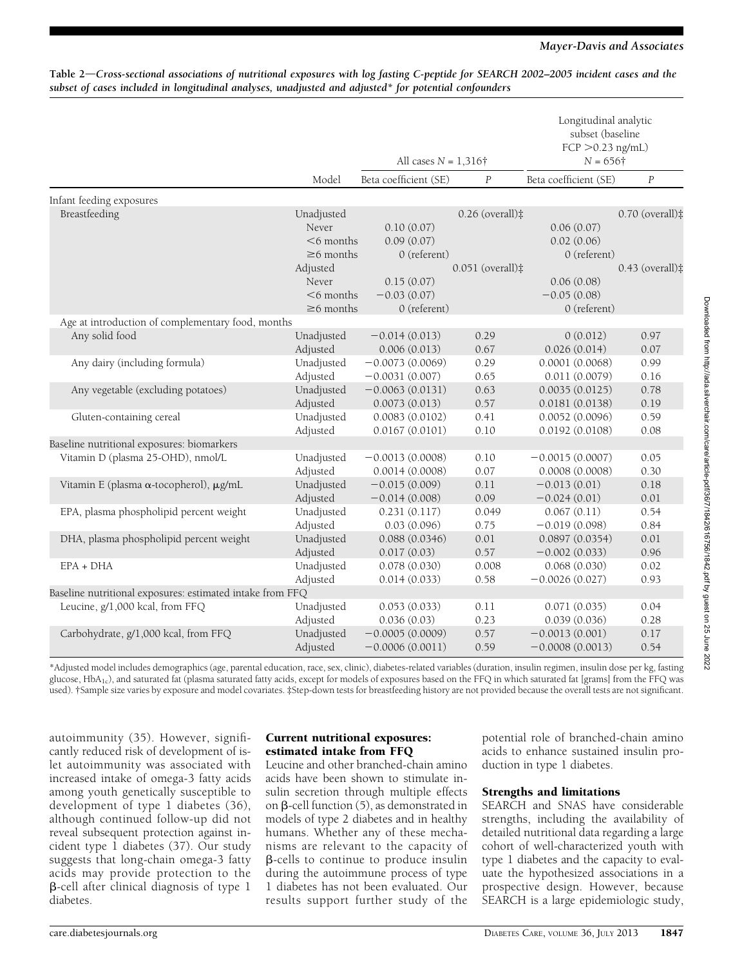#### Mayer-Davis and Associates

|                                                           |                 | All cases $N = 1,316\dagger$ |                              | Longitudinal analytic<br>subset (baseline<br>$FCP > 0.23$ ng/mL)<br>$N = 656\dagger$ |                             |
|-----------------------------------------------------------|-----------------|------------------------------|------------------------------|--------------------------------------------------------------------------------------|-----------------------------|
|                                                           | Model           | Beta coefficient (SE)        | $\boldsymbol{P}$             | Beta coefficient (SE)                                                                | $\boldsymbol{P}$            |
| Infant feeding exposures                                  |                 |                              |                              |                                                                                      |                             |
| Breastfeeding                                             | Unadjusted      |                              | $0.26$ (overall) $\ddagger$  |                                                                                      | $0.70$ (overall) $\ddagger$ |
|                                                           | Never           | 0.10(0.07)                   |                              | 0.06(0.07)                                                                           |                             |
|                                                           | $<$ 6 months    | 0.09(0.07)                   |                              | 0.02(0.06)                                                                           |                             |
|                                                           | $\geq 6$ months | $0$ (referent)               |                              | $0$ (referent)                                                                       |                             |
|                                                           | Adjusted        |                              | $0.051$ (overall) $\ddagger$ |                                                                                      | $0.43$ (overall) $\ddagger$ |
|                                                           | Never           | 0.15(0.07)                   |                              | 0.06(0.08)                                                                           |                             |
|                                                           | $<$ 6 months    | $-0.03(0.07)$                |                              | $-0.05(0.08)$                                                                        |                             |
|                                                           | $\geq$ 6 months | 0 (referent)                 |                              | 0 (referent)                                                                         |                             |
| Age at introduction of complementary food, months         |                 |                              |                              |                                                                                      |                             |
| Any solid food                                            | Unadjusted      | $-0.014(0.013)$              | 0.29                         | 0(0.012)                                                                             | 0.97                        |
|                                                           | Adjusted        | 0.006(0.013)                 | 0.67                         | 0.026(0.014)                                                                         | 0.07                        |
| Any dairy (including formula)                             | Unadjusted      | $-0.0073(0.0069)$            | 0.29                         | 0.0001(0.0068)                                                                       | 0.99                        |
|                                                           | Adjusted        | $-0.0031(0.007)$             | 0.65                         | 0.011(0.0079)                                                                        | 0.16                        |
| Any vegetable (excluding potatoes)                        | Unadjusted      | $-0.0063(0.0131)$            | 0.63                         | 0.0035(0.0125)                                                                       | 0.78                        |
|                                                           | Adjusted        | 0.0073(0.013)                | 0.57                         | 0.0181(0.0138)                                                                       | 0.19                        |
| Gluten-containing cereal                                  | Unadjusted      | 0.0083(0.0102)               | 0.41                         | 0.0052(0.0096)                                                                       | 0.59                        |
|                                                           | Adjusted        | 0.0167(0.0101)               | 0.10                         | 0.0192(0.0108)                                                                       | 0.08                        |
| Baseline nutritional exposures: biomarkers                |                 |                              |                              |                                                                                      |                             |
| Vitamin D (plasma 25-OHD), nmol/L                         | Unadjusted      | $-0.0013(0.0008)$            | 0.10                         | $-0.0015(0.0007)$                                                                    | 0.05                        |
|                                                           | Adjusted        | 0.0014(0.0008)               | 0.07                         | 0.0008(0.0008)                                                                       | 0.30                        |
| Vitamin E (plasma α-tocopherol), μg/mL                    | Unadjusted      | $-0.015(0.009)$              | 0.11                         | $-0.013(0.01)$                                                                       | 0.18                        |
|                                                           | Adjusted        | $-0.014(0.008)$              | 0.09                         | $-0.024(0.01)$                                                                       | 0.01                        |
| EPA, plasma phospholipid percent weight                   | Unadjusted      | 0.231(0.117)                 | 0.049                        | 0.067(0.11)                                                                          | 0.54                        |
|                                                           | Adjusted        | 0.03(0.096)                  | 0.75                         | $-0.019(0.098)$                                                                      | 0.84                        |
| DHA, plasma phospholipid percent weight                   | Unadjusted      | 0.088(0.0346)                | 0.01                         | 0.0897(0.0354)                                                                       | 0.01                        |
|                                                           | Adjusted        | 0.017(0.03)                  | 0.57                         | $-0.002(0.033)$                                                                      | 0.96                        |
| $EPA + DHA$                                               | Unadjusted      | 0.078(0.030)                 | 0.008                        | 0.068(0.030)                                                                         | 0.02                        |
|                                                           | Adjusted        | 0.014(0.033)                 | 0.58                         | $-0.0026(0.027)$                                                                     | 0.93                        |
| Baseline nutritional exposures: estimated intake from FFQ |                 |                              |                              |                                                                                      |                             |
| Leucine, g/1,000 kcal, from FFQ                           | Unadjusted      | 0.053(0.033)                 | 0.11                         | 0.071(0.035)                                                                         | 0.04                        |
|                                                           | Adjusted        | 0.036(0.03)                  | 0.23                         | 0.039(0.036)                                                                         | 0.28                        |
| Carbohydrate, g/1,000 kcal, from FFQ                      | Unadjusted      | $-0.0005(0.0009)$            | 0.57                         | $-0.0013(0.001)$                                                                     | 0.17                        |
|                                                           | Adjusted        | $-0.0006(0.0011)$            | 0.59                         | $-0.0008(0.0013)$                                                                    | 0.54                        |

#### Table 2-Cross-sectional associations of nutritional exposures with log fasting C-peptide for SEARCH 2002-2005 incident cases and the subset of cases included in longitudinal analyses, unadjusted and adjusted\* for potential confounders

\*Adjusted model includes demographics (age, parental education, race, sex, clinic), diabetes-related variables (duration, insulin regimen, insulin dose per kg, fasting glucose, HbA<sub>1c</sub>), and saturated fat (plasma saturated fatty acids, except for models of exposures based on the FFQ in which saturated fat [grams] from the FFQ was used). †Sample size varies by exposure and model covariates. ‡Step-down tests for breastfeeding history are not provided because the overall tests are not significant.

autoimmunity (35). However, significantly reduced risk of development of islet autoimmunity was associated with increased intake of omega-3 fatty acids among youth genetically susceptible to development of type 1 diabetes (36), although continued follow-up did not reveal subsequent protection against incident type 1 diabetes (37). Our study suggests that long-chain omega-3 fatty acids may provide protection to the b-cell after clinical diagnosis of type 1 diabetes.

# Current nutritional exposures: estimated intake from FFQ

Leucine and other branched-chain amino acids have been shown to stimulate insulin secretion through multiple effects on  $\beta$ -cell function (5), as demonstrated in models of type 2 diabetes and in healthy humans. Whether any of these mechanisms are relevant to the capacity of b-cells to continue to produce insulin during the autoimmune process of type 1 diabetes has not been evaluated. Our results support further study of the

potential role of branched-chain amino acids to enhance sustained insulin production in type 1 diabetes.

# Strengths and limitations

SEARCH and SNAS have considerable strengths, including the availability of detailed nutritional data regarding a large cohort of well-characterized youth with type 1 diabetes and the capacity to evaluate the hypothesized associations in a prospective design. However, because SEARCH is a large epidemiologic study,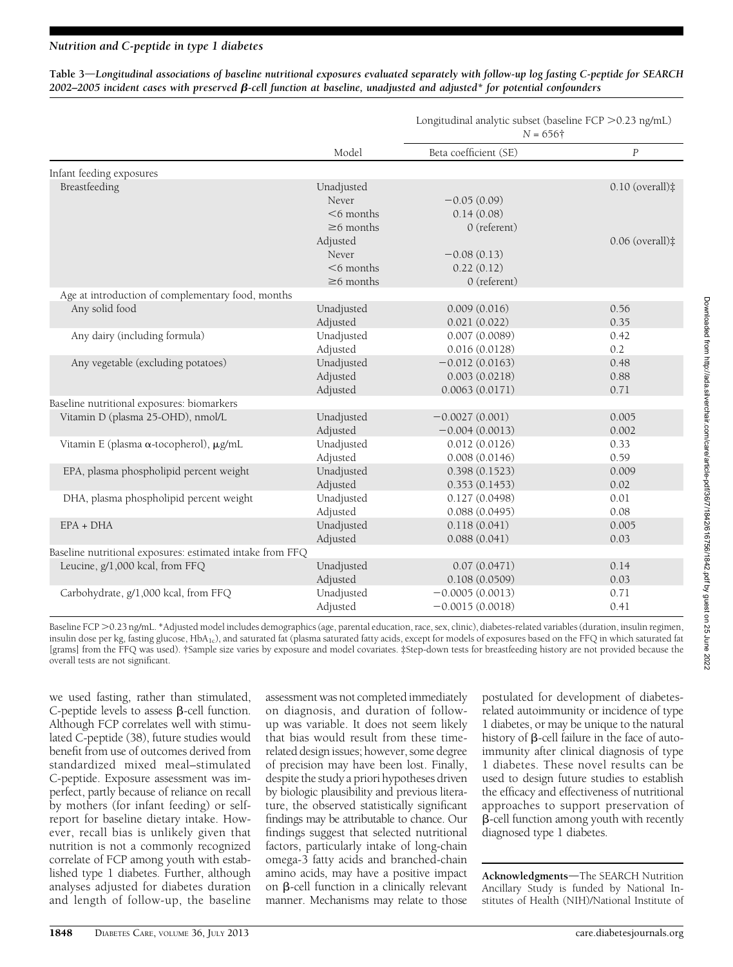Table 3—Longitudinal associations of baseline nutritional exposures evaluated separately with follow-up log fasting C-peptide for SEARCH  $2002-2005$  incident cases with preserved  $\beta$ -cell function at baseline, unadjusted and adjusted\* for potential confounders

|                                                           |                 | $N = 656\dagger$      |                             |  |
|-----------------------------------------------------------|-----------------|-----------------------|-----------------------------|--|
|                                                           | Model           | Beta coefficient (SE) | $\boldsymbol{P}$            |  |
| Infant feeding exposures                                  |                 |                       |                             |  |
| Breastfeeding                                             | Unadjusted      |                       | $0.10$ (overall) $\ddagger$ |  |
|                                                           | Never           | $-0.05(0.09)$         |                             |  |
|                                                           | $<$ 6 months    | 0.14(0.08)            |                             |  |
|                                                           | $\geq$ 6 months | 0 (referent)          |                             |  |
|                                                           | Adjusted        |                       | $0.06$ (overall) $\ddagger$ |  |
|                                                           | Never           | $-0.08(0.13)$         |                             |  |
|                                                           | $<$ 6 months    | 0.22(0.12)            |                             |  |
|                                                           | $\geq 6$ months | $0$ (referent)        |                             |  |
| Age at introduction of complementary food, months         |                 |                       |                             |  |
| Any solid food                                            | Unadjusted      | 0.009(0.016)          | 0.56                        |  |
|                                                           | Adjusted        | 0.021(0.022)          | 0.35                        |  |
| Any dairy (including formula)                             | Unadjusted      | 0.007(0.0089)         | 0.42                        |  |
|                                                           | Adjusted        | 0.016(0.0128)         | 0.2                         |  |
| Any vegetable (excluding potatoes)                        | Unadjusted      | $-0.012(0.0163)$      | 0.48                        |  |
|                                                           | Adjusted        | 0.003(0.0218)         | 0.88                        |  |
|                                                           | Adjusted        | 0.0063(0.0171)        | 0.71                        |  |
| Baseline nutritional exposures: biomarkers                |                 |                       |                             |  |
| Vitamin D (plasma 25-OHD), nmol/L                         | Unadjusted      | $-0.0027(0.001)$      | 0.005                       |  |
|                                                           | Adjusted        | $-0.004(0.0013)$      | 0.002                       |  |
| Vitamin E (plasma α-tocopherol), μg/mL                    | Unadjusted      | 0.012(0.0126)         | 0.33                        |  |
|                                                           | Adjusted        | 0.008(0.0146)         | 0.59                        |  |
| EPA, plasma phospholipid percent weight                   | Unadjusted      | 0.398(0.1523)         | 0.009                       |  |
|                                                           | Adjusted        | 0.353(0.1453)         | 0.02                        |  |
| DHA, plasma phospholipid percent weight                   | Unadjusted      | 0.127(0.0498)         | 0.01                        |  |
|                                                           | Adjusted        | 0.088(0.0495)         | 0.08                        |  |
| $EPA + DHA$                                               | Unadjusted      | 0.118(0.041)          | 0.005                       |  |
|                                                           | Adjusted        | 0.088(0.041)          | 0.03                        |  |
| Baseline nutritional exposures: estimated intake from FFQ |                 |                       |                             |  |
| Leucine, g/1,000 kcal, from FFQ                           | Unadjusted      | 0.07(0.0471)          | 0.14                        |  |
|                                                           | Adjusted        | 0.108(0.0509)         | 0.03                        |  |
| Carbohydrate, g/1,000 kcal, from FFQ                      | Unadjusted      | $-0.0005(0.0013)$     | 0.71                        |  |
|                                                           | Adjusted        | $-0.0015(0.0018)$     | 0.41                        |  |

Baseline FCP >0.23 ng/mL. \*Adjusted model includes demographics (age, parental education, race, sex, clinic), diabetes-related variables (duration, insulin regimen, insulin dose per kg, fasting glucose, HbA<sub>1c</sub>), and saturated fat (plasma saturated fatty acids, except for models of exposures based on the FFQ in which saturated fat [grams] from the FFQ was used). †Sample size varies by exposure and model covariates. ‡Step-down tests for breastfeeding history are not provided because the overall tests are not significant.

we used fasting, rather than stimulated, C-peptide levels to assess  $\beta$ -cell function. Although FCP correlates well with stimulated C-peptide (38), future studies would benefit from use of outcomes derived from standardized mixed meal–stimulated C-peptide. Exposure assessment was imperfect, partly because of reliance on recall by mothers (for infant feeding) or selfreport for baseline dietary intake. However, recall bias is unlikely given that nutrition is not a commonly recognized correlate of FCP among youth with established type 1 diabetes. Further, although analyses adjusted for diabetes duration and length of follow-up, the baseline

assessment was not completed immediately on diagnosis, and duration of followup was variable. It does not seem likely that bias would result from these timerelated design issues; however, some degree of precision may have been lost. Finally, despite the study a priori hypotheses driven by biologic plausibility and previous literature, the observed statistically significant findings may be attributable to chance. Our findings suggest that selected nutritional factors, particularly intake of long-chain omega-3 fatty acids and branched-chain amino acids, may have a positive impact on  $\beta$ -cell function in a clinically relevant manner. Mechanisms may relate to those postulated for development of diabetesrelated autoimmunity or incidence of type 1 diabetes, or may be unique to the natural history of  $\beta$ -cell failure in the face of autoimmunity after clinical diagnosis of type 1 diabetes. These novel results can be used to design future studies to establish the efficacy and effectiveness of nutritional approaches to support preservation of  $\beta$ -cell function among youth with recently diagnosed type 1 diabetes.

Longitudinal analytic subset (baseline  $FCP > 0.23$  ng/mL)

Acknowledgments-The SEARCH Nutrition Ancillary Study is funded by National Institutes of Health (NIH)/National Institute of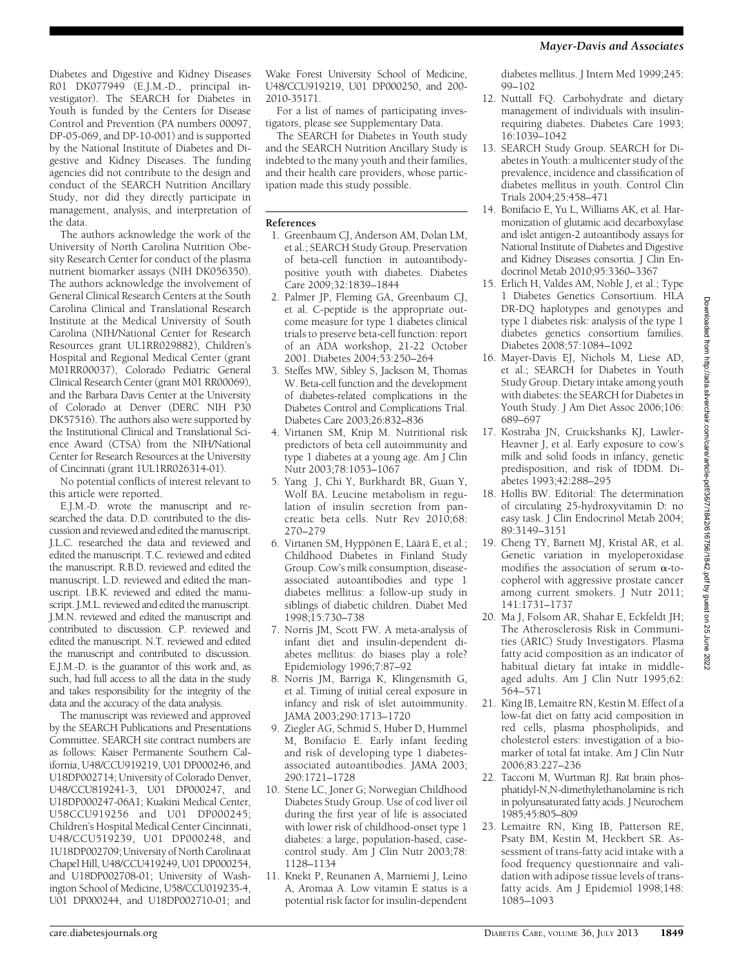Diabetes and Digestive and Kidney Diseases R01 DK077949 (E.J.M.-D., principal investigator). The SEARCH for Diabetes in Youth is funded by the Centers for Disease Control and Prevention (PA numbers 00097, DP-05-069, and DP-10-001) and is supported by the National Institute of Diabetes and Digestive and Kidney Diseases. The funding agencies did not contribute to the design and conduct of the SEARCH Nutrition Ancillary Study, nor did they directly participate in management, analysis, and interpretation of the data.

The authors acknowledge the work of the University of North Carolina Nutrition Obesity Research Center for conduct of the plasma nutrient biomarker assays (NIH DK056350). The authors acknowledge the involvement of General Clinical Research Centers at the South Carolina Clinical and Translational Research Institute at the Medical University of South Carolina (NIH/National Center for Research Resources grant UL1RR029882), Children's Hospital and Regional Medical Center (grant M01RR00037), Colorado Pediatric General Clinical Research Center (grant M01 RR00069), and the Barbara Davis Center at the University of Colorado at Denver (DERC NIH P30 DK57516). The authors also were supported by the Institutional Clinical and Translational Science Award (CTSA) from the NIH/National Center for Research Resources at the University of Cincinnati (grant 1UL1RR026314-01).

No potential conflicts of interest relevant to this article were reported.

E.J.M.-D. wrote the manuscript and researched the data. D.D. contributed to the discussion and reviewed and edited the manuscript. J.L.C. researched the data and reviewed and edited the manuscript. T.C. reviewed and edited the manuscript. R.B.D. reviewed and edited the manuscript. L.D. reviewed and edited the manuscript. I.B.K. reviewed and edited the manuscript. J.M.L. reviewed and edited the manuscript. J.M.N. reviewed and edited the manuscript and contributed to discussion. C.P. reviewed and edited the manuscript. N.T. reviewed and edited the manuscript and contributed to discussion. E.J.M.-D. is the guarantor of this work and, as such, had full access to all the data in the study and takes responsibility for the integrity of the data and the accuracy of the data analysis.

The manuscript was reviewed and approved by the SEARCH Publications and Presentations Committee. SEARCH site contract numbers are as follows: Kaiser Permanente Southern California, U48/CCU919219, U01 DP000246, and U18DP002714; University of Colorado Denver, U48/CCU819241-3, U01 DP000247, and U18DP000247-06A1; Kuakini Medical Center, U58CCU919256 and U01 DP000245; Children's Hospital Medical Center Cincinnati, U48/CCU519239, U01 DP000248, and 1U18DP002709; University of North Carolina at Chapel Hill, U48/CCU419249, U01 DP000254, and U18DP002708-01; University of Washington School of Medicine, U58/CCU019235-4, U01 DP000244, and U18DP002710-01; and

Wake Forest University School of Medicine, U48/CCU919219, U01 DP000250, and 200- 2010-35171.

For a list of names of participating investigators, please see Supplementary Data.

The SEARCH for Diabetes in Youth study and the SEARCH Nutrition Ancillary Study is indebted to the many youth and their families, and their health care providers, whose participation made this study possible.

#### References

- 1. Greenbaum CJ, Anderson AM, Dolan LM, et al.; SEARCH Study Group. Preservation of beta-cell function in autoantibodypositive youth with diabetes. Diabetes Care 2009;32:1839–1844
- 2. Palmer JP, Fleming GA, Greenbaum CJ, et al. C-peptide is the appropriate outcome measure for type 1 diabetes clinical trials to preserve beta-cell function: report of an ADA workshop, 21-22 October 2001. Diabetes 2004;53:250–264
- 3. Steffes MW, Sibley S, Jackson M, Thomas W. Beta-cell function and the development of diabetes-related complications in the Diabetes Control and Complications Trial. Diabetes Care 2003;26:832–836
- 4. Virtanen SM, Knip M. Nutritional risk predictors of beta cell autoimmunity and type 1 diabetes at a young age. Am J Clin Nutr 2003;78:1053–1067
- 5. Yang J, Chi Y, Burkhardt BR, Guan Y, Wolf BA. Leucine metabolism in regulation of insulin secretion from pancreatic beta cells. Nutr Rev 2010;68: 270–279
- 6. Virtanen SM, Hyppönen E, Läärä E, et al.; Childhood Diabetes in Finland Study Group. Cow's milk consumption, diseaseassociated autoantibodies and type 1 diabetes mellitus: a follow-up study in siblings of diabetic children. Diabet Med 1998;15:730–738
- 7. Norris JM, Scott FW. A meta-analysis of infant diet and insulin-dependent diabetes mellitus: do biases play a role? Epidemiology 1996;7:87–92
- 8. Norris JM, Barriga K, Klingensmith G, et al. Timing of initial cereal exposure in infancy and risk of islet autoimmunity. JAMA 2003;290:1713–1720
- 9. Ziegler AG, Schmid S, Huber D, Hummel M, Bonifacio E. Early infant feeding and risk of developing type 1 diabetesassociated autoantibodies. JAMA 2003; 290:1721–1728
- 10. Stene LC, Joner G; Norwegian Childhood Diabetes Study Group. Use of cod liver oil during the first year of life is associated with lower risk of childhood-onset type 1 diabetes: a large, population-based, casecontrol study. Am J Clin Nutr 2003;78: 1128–1134
- 11. Knekt P, Reunanen A, Marniemi J, Leino A, Aromaa A. Low vitamin E status is a potential risk factor for insulin-dependent

diabetes mellitus. J Intern Med 1999;245: 99–102

- 12. Nuttall FQ. Carbohydrate and dietary management of individuals with insulinrequiring diabetes. Diabetes Care 1993; 16:1039–1042
- 13. SEARCH Study Group. SEARCH for Diabetes in Youth: a multicenter study of the prevalence, incidence and classification of diabetes mellitus in youth. Control Clin Trials 2004;25:458–471
- 14. Bonifacio E, Yu L, Williams AK, et al. Harmonization of glutamic acid decarboxylase and islet antigen-2 autoantibody assays for National Institute of Diabetes and Digestive and Kidney Diseases consortia. J Clin Endocrinol Metab 2010;95:3360–3367
- 15. Erlich H, Valdes AM, Noble J, et al.; Type 1 Diabetes Genetics Consortium. HLA DR-DQ haplotypes and genotypes and type 1 diabetes risk: analysis of the type 1 diabetes genetics consortium families. Diabetes 2008;57:1084–1092
- 16. Mayer-Davis EJ, Nichols M, Liese AD, et al.; SEARCH for Diabetes in Youth Study Group. Dietary intake among youth with diabetes: the SEARCH for Diabetes in Youth Study. J Am Diet Assoc 2006;106: 689–697
- 17. Kostraba JN, Cruickshanks KJ, Lawler-Heavner J, et al. Early exposure to cow's milk and solid foods in infancy, genetic predisposition, and risk of IDDM. Diabetes 1993;42:288–295
- 18. Hollis BW. Editorial: The determination of circulating 25-hydroxyvitamin D: no easy task. J Clin Endocrinol Metab 2004; 89:3149–3151
- 19. Cheng TY, Barnett MJ, Kristal AR, et al. Genetic variation in myeloperoxidase modifies the association of serum  $\alpha$ -tocopherol with aggressive prostate cancer among current smokers. J Nutr 2011; 141:1731–1737
- 20. Ma J, Folsom AR, Shahar E, Eckfeldt JH; The Atherosclerosis Risk in Communities (ARIC) Study Investigators. Plasma fatty acid composition as an indicator of habitual dietary fat intake in middleaged adults. Am J Clin Nutr 1995;62: 564–571
- 21. King IB, Lemaitre RN, Kestin M. Effect of a low-fat diet on fatty acid composition in red cells, plasma phospholipids, and cholesterol esters: investigation of a biomarker of total fat intake. Am J Clin Nutr 2006;83:227–236
- 22. Tacconi M, Wurtman RJ. Rat brain phosphatidyl-N,N-dimethylethanolamine is rich in polyunsaturated fatty acids. J Neurochem 1985;45:805–809
- 23. Lemaitre RN, King IB, Patterson RE, Psaty BM, Kestin M, Heckbert SR. Assessment of trans-fatty acid intake with a food frequency questionnaire and validation with adipose tissue levels of transfatty acids. Am J Epidemiol 1998;148: 1085–1093